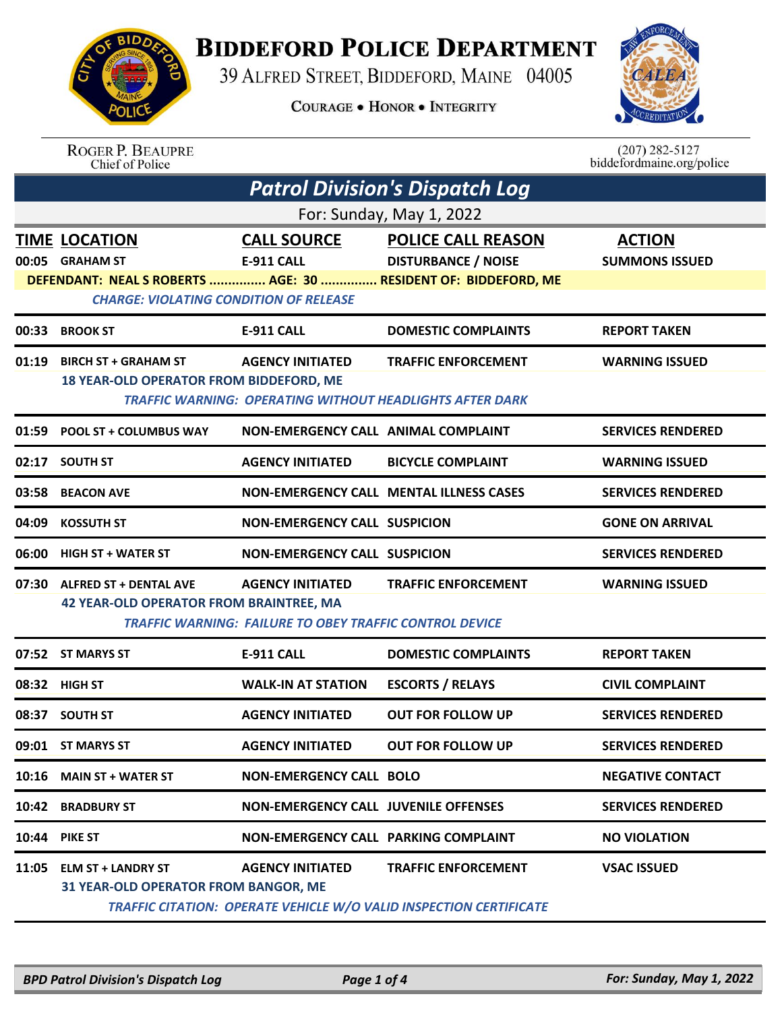## **BIDDEFORD POLICE DEPARTMENT**

39 ALFRED STREET, BIDDEFORD, MAINE 04005

**COURAGE . HONOR . INTEGRITY** 



ROGER P. BEAUPRE<br>Chief of Police

 $(207)$  282-5127<br>biddefordmaine.org/police

| <b>Patrol Division's Dispatch Log</b> |                                                                                                                                                            |                                                                                           |                                                                                                         |                                        |  |  |
|---------------------------------------|------------------------------------------------------------------------------------------------------------------------------------------------------------|-------------------------------------------------------------------------------------------|---------------------------------------------------------------------------------------------------------|----------------------------------------|--|--|
|                                       | For: Sunday, May 1, 2022                                                                                                                                   |                                                                                           |                                                                                                         |                                        |  |  |
|                                       | <b>TIME LOCATION</b><br>00:05 GRAHAM ST<br>DEFENDANT: NEAL S ROBERTS  AGE: 30  RESIDENT OF: BIDDEFORD, ME<br><b>CHARGE: VIOLATING CONDITION OF RELEASE</b> | <b>CALL SOURCE</b><br>E-911 CALL                                                          | <b>POLICE CALL REASON</b><br><b>DISTURBANCE / NOISE</b>                                                 | <b>ACTION</b><br><b>SUMMONS ISSUED</b> |  |  |
| 00:33                                 | <b>BROOK ST</b>                                                                                                                                            | <b>E-911 CALL</b>                                                                         | <b>DOMESTIC COMPLAINTS</b>                                                                              | <b>REPORT TAKEN</b>                    |  |  |
| 01:19                                 | <b>BIRCH ST + GRAHAM ST</b><br>18 YEAR-OLD OPERATOR FROM BIDDEFORD, ME                                                                                     | <b>AGENCY INITIATED</b>                                                                   | <b>TRAFFIC ENFORCEMENT</b><br><b>TRAFFIC WARNING: OPERATING WITHOUT HEADLIGHTS AFTER DARK</b>           | <b>WARNING ISSUED</b>                  |  |  |
| 01:59                                 | <b>POOL ST + COLUMBUS WAY</b>                                                                                                                              | NON-EMERGENCY CALL ANIMAL COMPLAINT                                                       |                                                                                                         | <b>SERVICES RENDERED</b>               |  |  |
|                                       | 02:17 SOUTH ST                                                                                                                                             | <b>AGENCY INITIATED</b>                                                                   | <b>BICYCLE COMPLAINT</b>                                                                                | <b>WARNING ISSUED</b>                  |  |  |
| 03:58                                 | <b>BEACON AVE</b>                                                                                                                                          |                                                                                           | <b>NON-EMERGENCY CALL MENTAL ILLNESS CASES</b>                                                          | <b>SERVICES RENDERED</b>               |  |  |
| 04:09                                 | <b>KOSSUTH ST</b>                                                                                                                                          | <b>NON-EMERGENCY CALL SUSPICION</b>                                                       |                                                                                                         | <b>GONE ON ARRIVAL</b>                 |  |  |
| 06:00                                 | <b>HIGH ST + WATER ST</b>                                                                                                                                  | <b>NON-EMERGENCY CALL SUSPICION</b>                                                       |                                                                                                         | <b>SERVICES RENDERED</b>               |  |  |
| 07:30                                 | <b>ALFRED ST + DENTAL AVE</b><br><b>42 YEAR-OLD OPERATOR FROM BRAINTREE, MA</b>                                                                            | <b>AGENCY INITIATED</b><br><b>TRAFFIC WARNING: FAILURE TO OBEY TRAFFIC CONTROL DEVICE</b> | <b>TRAFFIC ENFORCEMENT</b>                                                                              | <b>WARNING ISSUED</b>                  |  |  |
|                                       | 07:52 ST MARYS ST                                                                                                                                          | <b>E-911 CALL</b>                                                                         | <b>DOMESTIC COMPLAINTS</b>                                                                              | <b>REPORT TAKEN</b>                    |  |  |
|                                       | 08:32 HIGH ST                                                                                                                                              | <b>WALK-IN AT STATION</b>                                                                 | <b>ESCORTS / RELAYS</b>                                                                                 | <b>CIVIL COMPLAINT</b>                 |  |  |
| 08:37                                 | <b>SOUTH ST</b>                                                                                                                                            | <b>AGENCY INITIATED</b>                                                                   | <b>OUT FOR FOLLOW UP</b>                                                                                | <b>SERVICES RENDERED</b>               |  |  |
|                                       | 09:01 ST MARYS ST                                                                                                                                          | <b>AGENCY INITIATED</b>                                                                   | <b>OUT FOR FOLLOW UP</b>                                                                                | <b>SERVICES RENDERED</b>               |  |  |
|                                       | 10:16 MAIN ST + WATER ST                                                                                                                                   | <b>NON-EMERGENCY CALL BOLO</b>                                                            |                                                                                                         | <b>NEGATIVE CONTACT</b>                |  |  |
|                                       | 10:42 BRADBURY ST                                                                                                                                          | <b>NON-EMERGENCY CALL JUVENILE OFFENSES</b>                                               |                                                                                                         | <b>SERVICES RENDERED</b>               |  |  |
| 10:44                                 | <b>PIKE ST</b>                                                                                                                                             | <b>NON-EMERGENCY CALL PARKING COMPLAINT</b>                                               |                                                                                                         | <b>NO VIOLATION</b>                    |  |  |
| 11:05                                 | <b>ELM ST + LANDRY ST</b><br>31 YEAR-OLD OPERATOR FROM BANGOR, ME                                                                                          | <b>AGENCY INITIATED</b>                                                                   | <b>TRAFFIC ENFORCEMENT</b><br><b>TRAFFIC CITATION: OPERATE VEHICLE W/O VALID INSPECTION CERTIFICATE</b> | <b>VSAC ISSUED</b>                     |  |  |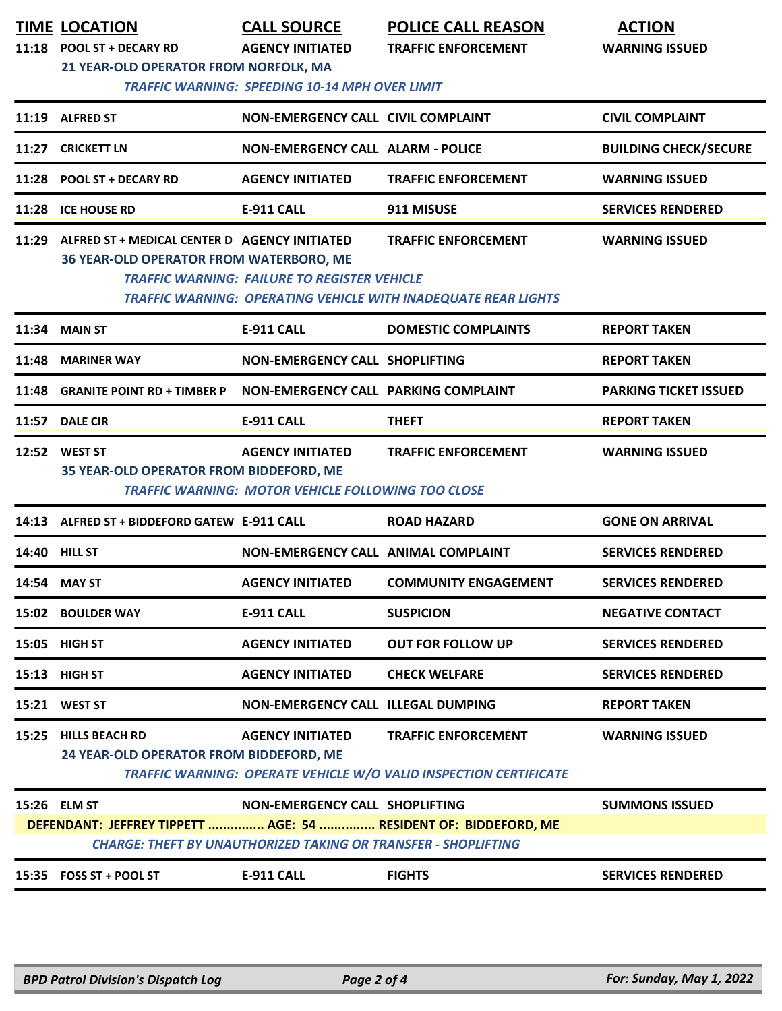|       | <b>TIME LOCATION</b><br>11:18 POOL ST + DECARY RD                                        | <b>CALL SOURCE</b><br><b>AGENCY INITIATED</b>                                        | <b>POLICE CALL REASON</b><br><b>TRAFFIC ENFORCEMENT</b>                                             | <b>ACTION</b><br><b>WARNING ISSUED</b> |
|-------|------------------------------------------------------------------------------------------|--------------------------------------------------------------------------------------|-----------------------------------------------------------------------------------------------------|----------------------------------------|
|       | 21 YEAR-OLD OPERATOR FROM NORFOLK, MA                                                    | <b>TRAFFIC WARNING: SPEEDING 10-14 MPH OVER LIMIT</b>                                |                                                                                                     |                                        |
|       | 11:19 ALFRED ST                                                                          | <b>NON-EMERGENCY CALL CIVIL COMPLAINT</b>                                            |                                                                                                     | <b>CIVIL COMPLAINT</b>                 |
| 11:27 | <b>CRICKETT LN</b>                                                                       | <b>NON-EMERGENCY CALL ALARM - POLICE</b>                                             |                                                                                                     | <b>BUILDING CHECK/SECURE</b>           |
|       | 11:28 POOL ST + DECARY RD                                                                | <b>AGENCY INITIATED</b>                                                              | <b>TRAFFIC ENFORCEMENT</b>                                                                          | <b>WARNING ISSUED</b>                  |
|       | 11:28 ICE HOUSE RD                                                                       | <b>E-911 CALL</b>                                                                    | 911 MISUSE                                                                                          | <b>SERVICES RENDERED</b>               |
| 11:29 | ALFRED ST + MEDICAL CENTER D AGENCY INITIATED<br>36 YEAR-OLD OPERATOR FROM WATERBORO, ME | <b>TRAFFIC WARNING: FAILURE TO REGISTER VEHICLE</b>                                  | <b>TRAFFIC ENFORCEMENT</b><br><b>TRAFFIC WARNING: OPERATING VEHICLE WITH INADEQUATE REAR LIGHTS</b> | <b>WARNING ISSUED</b>                  |
|       | <b>11:34 MAIN ST</b>                                                                     | <b>E-911 CALL</b>                                                                    | <b>DOMESTIC COMPLAINTS</b>                                                                          | <b>REPORT TAKEN</b>                    |
| 11:48 | <b>MARINER WAY</b>                                                                       | NON-EMERGENCY CALL SHOPLIFTING                                                       |                                                                                                     | <b>REPORT TAKEN</b>                    |
| 11:48 | <b>GRANITE POINT RD + TIMBER P</b>                                                       | NON-EMERGENCY CALL PARKING COMPLAINT                                                 |                                                                                                     | <b>PARKING TICKET ISSUED</b>           |
| 11:57 | <b>DALE CIR</b>                                                                          | <b>E-911 CALL</b>                                                                    | <b>THEFT</b>                                                                                        | <b>REPORT TAKEN</b>                    |
|       | 12:52 WEST ST<br>35 YEAR-OLD OPERATOR FROM BIDDEFORD, ME                                 | <b>AGENCY INITIATED</b><br><b>TRAFFIC WARNING: MOTOR VEHICLE FOLLOWING TOO CLOSE</b> | <b>TRAFFIC ENFORCEMENT</b>                                                                          | <b>WARNING ISSUED</b>                  |
| 14:13 | ALFRED ST + BIDDEFORD GATEW E-911 CALL                                                   |                                                                                      | <b>ROAD HAZARD</b>                                                                                  | <b>GONE ON ARRIVAL</b>                 |
|       | <b>14:40 HILL ST</b>                                                                     | NON-EMERGENCY CALL ANIMAL COMPLAINT                                                  |                                                                                                     | <b>SERVICES RENDERED</b>               |
|       | 14:54 MAY ST                                                                             | <b>AGENCY INITIATED</b>                                                              | <b>COMMUNITY ENGAGEMENT</b>                                                                         | <b>SERVICES RENDERED</b>               |
|       | 15:02 BOULDER WAY                                                                        | E-911 CALL                                                                           | <b>SUSPICION</b>                                                                                    | <b>NEGATIVE CONTACT</b>                |
|       | 15:05 HIGH ST                                                                            | <b>AGENCY INITIATED</b>                                                              | <b>OUT FOR FOLLOW UP</b>                                                                            | <b>SERVICES RENDERED</b>               |
|       | 15:13 HIGH ST                                                                            | <b>AGENCY INITIATED</b>                                                              | <b>CHECK WELFARE</b>                                                                                | <b>SERVICES RENDERED</b>               |
|       | 15:21 WEST ST                                                                            | NON-EMERGENCY CALL ILLEGAL DUMPING                                                   |                                                                                                     | <b>REPORT TAKEN</b>                    |
|       | 15:25 HILLS BEACH RD<br>24 YEAR-OLD OPERATOR FROM BIDDEFORD, ME                          | <b>AGENCY INITIATED</b>                                                              | <b>TRAFFIC ENFORCEMENT</b><br>TRAFFIC WARNING: OPERATE VEHICLE W/O VALID INSPECTION CERTIFICATE     | <b>WARNING ISSUED</b>                  |
|       | 15:26 ELM ST                                                                             | NON-EMERGENCY CALL SHOPLIFTING                                                       |                                                                                                     | <b>SUMMONS ISSUED</b>                  |
|       | DEFENDANT: JEFFREY TIPPETT  AGE: 54  RESIDENT OF: BIDDEFORD, ME                          | <b>CHARGE: THEFT BY UNAUTHORIZED TAKING OR TRANSFER - SHOPLIFTING</b>                |                                                                                                     |                                        |
|       | 15:35 FOSS ST + POOL ST                                                                  | <b>E-911 CALL</b>                                                                    | <b>FIGHTS</b>                                                                                       | <b>SERVICES RENDERED</b>               |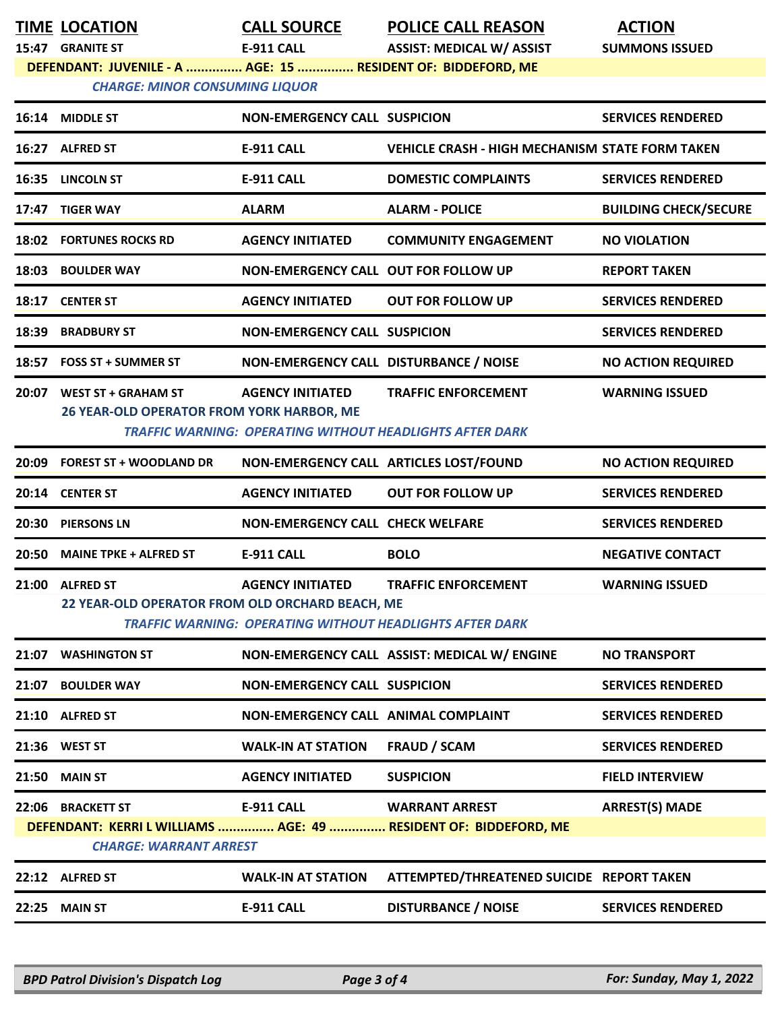## **TIME LOCATION CALL SOURCE POLICE CALL REASON ACTION**

**15:47 GRANITE ST E-911 CALL ASSIST: MEDICAL W/ ASSIST SUMMONS ISSUED**

**DEFENDANT: JUVENILE - A ............... AGE: 15 ............... RESIDENT OF: BIDDEFORD, ME**

*CHARGE: MINOR CONSUMING LIQUOR* 

|       | 16:14 MIDDLE ST                                                                | <b>NON-EMERGENCY CALL SUSPICION</b>                                                        |                                                                                               | <b>SERVICES RENDERED</b>     |
|-------|--------------------------------------------------------------------------------|--------------------------------------------------------------------------------------------|-----------------------------------------------------------------------------------------------|------------------------------|
|       | 16:27 ALFRED ST                                                                | <b>E-911 CALL</b>                                                                          | <b>VEHICLE CRASH - HIGH MECHANISM STATE FORM TAKEN</b>                                        |                              |
| 16:35 | <b>LINCOLN ST</b>                                                              | <b>E-911 CALL</b>                                                                          | <b>DOMESTIC COMPLAINTS</b>                                                                    | <b>SERVICES RENDERED</b>     |
| 17:47 | <b>TIGER WAY</b>                                                               | <b>ALARM</b>                                                                               | <b>ALARM - POLICE</b>                                                                         | <b>BUILDING CHECK/SECURE</b> |
|       | <b>18:02 FORTUNES ROCKS RD</b>                                                 | <b>AGENCY INITIATED</b>                                                                    | <b>COMMUNITY ENGAGEMENT</b>                                                                   | <b>NO VIOLATION</b>          |
| 18:03 | <b>BOULDER WAY</b>                                                             | <b>NON-EMERGENCY CALL OUT FOR FOLLOW UP</b>                                                |                                                                                               | <b>REPORT TAKEN</b>          |
| 18:17 | <b>CENTER ST</b>                                                               | <b>AGENCY INITIATED</b>                                                                    | <b>OUT FOR FOLLOW UP</b>                                                                      | <b>SERVICES RENDERED</b>     |
| 18:39 | <b>BRADBURY ST</b>                                                             | <b>NON-EMERGENCY CALL SUSPICION</b>                                                        |                                                                                               | <b>SERVICES RENDERED</b>     |
|       | 18:57 FOSS ST + SUMMER ST                                                      | NON-EMERGENCY CALL DISTURBANCE / NOISE                                                     |                                                                                               | <b>NO ACTION REQUIRED</b>    |
| 20:07 | <b>WEST ST + GRAHAM ST</b><br><b>26 YEAR-OLD OPERATOR FROM YORK HARBOR, ME</b> | <b>AGENCY INITIATED</b><br><b>TRAFFIC WARNING: OPERATING WITHOUT HEADLIGHTS AFTER DARK</b> | <b>TRAFFIC ENFORCEMENT</b>                                                                    | <b>WARNING ISSUED</b>        |
|       | 20:09 FOREST ST + WOODLAND DR                                                  | NON-EMERGENCY CALL ARTICLES LOST/FOUND                                                     |                                                                                               | <b>NO ACTION REQUIRED</b>    |
|       | 20:14 CENTER ST                                                                | <b>AGENCY INITIATED</b>                                                                    | <b>OUT FOR FOLLOW UP</b>                                                                      | <b>SERVICES RENDERED</b>     |
| 20:30 | <b>PIERSONS LN</b>                                                             | <b>NON-EMERGENCY CALL CHECK WELFARE</b>                                                    |                                                                                               | <b>SERVICES RENDERED</b>     |
| 20:50 | <b>MAINE TPKE + ALFRED ST</b>                                                  | <b>E-911 CALL</b>                                                                          | <b>BOLO</b>                                                                                   | <b>NEGATIVE CONTACT</b>      |
| 21:00 | <b>ALFRED ST</b><br>22 YEAR-OLD OPERATOR FROM OLD ORCHARD BEACH, ME            | <b>AGENCY INITIATED</b>                                                                    | <b>TRAFFIC ENFORCEMENT</b><br><b>TRAFFIC WARNING: OPERATING WITHOUT HEADLIGHTS AFTER DARK</b> | <b>WARNING ISSUED</b>        |
|       | 21:07 WASHINGTON ST                                                            |                                                                                            | NON-EMERGENCY CALL ASSIST: MEDICAL W/ ENGINE                                                  | <b>NO TRANSPORT</b>          |
|       | 21:07 BOULDER WAY                                                              | <b>NON-EMERGENCY CALL SUSPICION</b>                                                        |                                                                                               | <b>SERVICES RENDERED</b>     |
|       | 21:10 ALFRED ST                                                                | NON-EMERGENCY CALL ANIMAL COMPLAINT                                                        |                                                                                               | <b>SERVICES RENDERED</b>     |
|       | 21:36 WEST ST                                                                  | <b>WALK-IN AT STATION</b>                                                                  | <b>FRAUD / SCAM</b>                                                                           | <b>SERVICES RENDERED</b>     |
| 21:50 | <b>MAIN ST</b>                                                                 | <b>AGENCY INITIATED</b>                                                                    | <b>SUSPICION</b>                                                                              | <b>FIELD INTERVIEW</b>       |
|       | 22:06 BRACKETT ST<br><b>CHARGE: WARRANT ARREST</b>                             | <b>E-911 CALL</b>                                                                          | <b>WARRANT ARREST</b><br>DEFENDANT: KERRI L WILLIAMS  AGE: 49  RESIDENT OF: BIDDEFORD, ME     | <b>ARREST(S) MADE</b>        |
|       | 22:12 ALFRED ST                                                                | <b>WALK-IN AT STATION</b>                                                                  | ATTEMPTED/THREATENED SUICIDE REPORT TAKEN                                                     |                              |
| 22:25 | <b>MAIN ST</b>                                                                 | <b>E-911 CALL</b>                                                                          | <b>DISTURBANCE / NOISE</b>                                                                    | <b>SERVICES RENDERED</b>     |